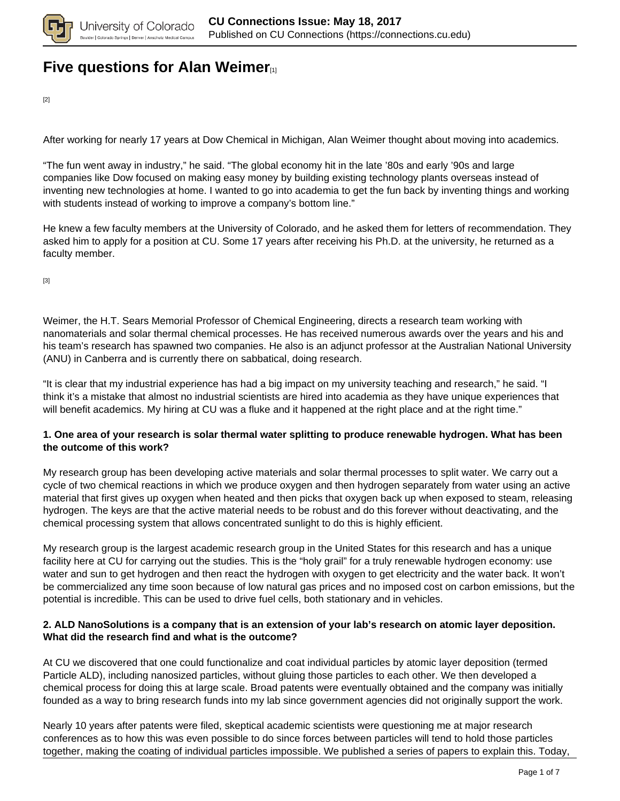

## **[Five questions for Alan Weimer](https://connections.cu.edu/spotlights/five-questions-alan-weimer)**<sub>[1]</sub>

[2]

After working for nearly 17 years at Dow Chemical in Michigan, Alan Weimer thought about moving into academics.

"The fun went away in industry," he said. "The global economy hit in the late '80s and early '90s and large companies like Dow focused on making easy money by building existing technology plants overseas instead of inventing new technologies at home. I wanted to go into academia to get the fun back by inventing things and working with students instead of working to improve a company's bottom line."

He knew a few faculty members at the University of Colorado, and he asked them for letters of recommendation. They asked him to apply for a position at CU. Some 17 years after receiving his Ph.D. at the university, he returned as a faculty member.

[3]

Weimer, the H.T. Sears Memorial Professor of Chemical Engineering, directs a research team working with nanomaterials and solar thermal chemical processes. He has received numerous awards over the years and his and his team's research has spawned two companies. He also is an adjunct professor at the Australian National University (ANU) in Canberra and is currently there on sabbatical, doing research.

"It is clear that my industrial experience has had a big impact on my university teaching and research," he said. "I think it's a mistake that almost no industrial scientists are hired into academia as they have unique experiences that will benefit academics. My hiring at CU was a fluke and it happened at the right place and at the right time."

#### **1. One area of your research is solar thermal water splitting to produce renewable hydrogen. What has been the outcome of this work?**

My research group has been developing active materials and solar thermal processes to split water. We carry out a cycle of two chemical reactions in which we produce oxygen and then hydrogen separately from water using an active material that first gives up oxygen when heated and then picks that oxygen back up when exposed to steam, releasing hydrogen. The keys are that the active material needs to be robust and do this forever without deactivating, and the chemical processing system that allows concentrated sunlight to do this is highly efficient.

My research group is the largest academic research group in the United States for this research and has a unique facility here at CU for carrying out the studies. This is the "holy grail" for a truly renewable hydrogen economy: use water and sun to get hydrogen and then react the hydrogen with oxygen to get electricity and the water back. It won't be commercialized any time soon because of low natural gas prices and no imposed cost on carbon emissions, but the potential is incredible. This can be used to drive fuel cells, both stationary and in vehicles.

#### **2. ALD NanoSolutions is a company that is an extension of your lab's research on atomic layer deposition. What did the research find and what is the outcome?**

At CU we discovered that one could functionalize and coat individual particles by atomic layer deposition (termed Particle ALD), including nanosized particles, without gluing those particles to each other. We then developed a chemical process for doing this at large scale. Broad patents were eventually obtained and the company was initially founded as a way to bring research funds into my lab since government agencies did not originally support the work.

Nearly 10 years after patents were filed, skeptical academic scientists were questioning me at major research conferences as to how this was even possible to do since forces between particles will tend to hold those particles together, making the coating of individual particles impossible. We published a series of papers to explain this. Today,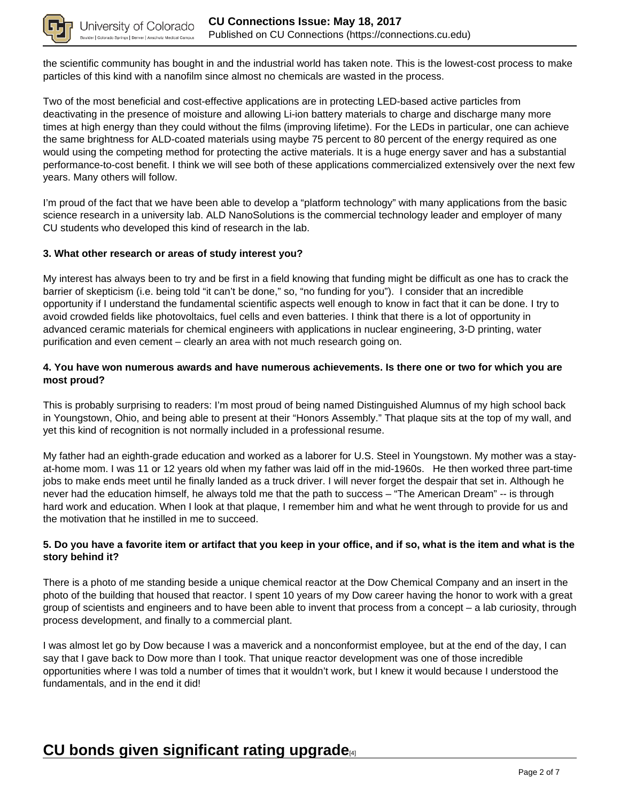

the scientific community has bought in and the industrial world has taken note. This is the lowest-cost process to make particles of this kind with a nanofilm since almost no chemicals are wasted in the process.

Two of the most beneficial and cost-effective applications are in protecting LED-based active particles from deactivating in the presence of moisture and allowing Li-ion battery materials to charge and discharge many more times at high energy than they could without the films (improving lifetime). For the LEDs in particular, one can achieve the same brightness for ALD-coated materials using maybe 75 percent to 80 percent of the energy required as one would using the competing method for protecting the active materials. It is a huge energy saver and has a substantial performance-to-cost benefit. I think we will see both of these applications commercialized extensively over the next few years. Many others will follow.

I'm proud of the fact that we have been able to develop a "platform technology" with many applications from the basic science research in a university lab. ALD NanoSolutions is the commercial technology leader and employer of many CU students who developed this kind of research in the lab.

#### **3. What other research or areas of study interest you?**

My interest has always been to try and be first in a field knowing that funding might be difficult as one has to crack the barrier of skepticism (i.e. being told "it can't be done," so, "no funding for you"). I consider that an incredible opportunity if I understand the fundamental scientific aspects well enough to know in fact that it can be done. I try to avoid crowded fields like photovoltaics, fuel cells and even batteries. I think that there is a lot of opportunity in advanced ceramic materials for chemical engineers with applications in nuclear engineering, 3-D printing, water purification and even cement – clearly an area with not much research going on.

#### **4. You have won numerous awards and have numerous achievements. Is there one or two for which you are most proud?**

This is probably surprising to readers: I'm most proud of being named Distinguished Alumnus of my high school back in Youngstown, Ohio, and being able to present at their "Honors Assembly." That plaque sits at the top of my wall, and yet this kind of recognition is not normally included in a professional resume.

My father had an eighth-grade education and worked as a laborer for U.S. Steel in Youngstown. My mother was a stayat-home mom. I was 11 or 12 years old when my father was laid off in the mid-1960s. He then worked three part-time jobs to make ends meet until he finally landed as a truck driver. I will never forget the despair that set in. Although he never had the education himself, he always told me that the path to success – "The American Dream" -- is through hard work and education. When I look at that plaque, I remember him and what he went through to provide for us and the motivation that he instilled in me to succeed.

#### **5. Do you have a favorite item or artifact that you keep in your office, and if so, what is the item and what is the story behind it?**

There is a photo of me standing beside a unique chemical reactor at the Dow Chemical Company and an insert in the photo of the building that housed that reactor. I spent 10 years of my Dow career having the honor to work with a great group of scientists and engineers and to have been able to invent that process from a concept – a lab curiosity, through process development, and finally to a commercial plant.

I was almost let go by Dow because I was a maverick and a nonconformist employee, but at the end of the day, I can say that I gave back to Dow more than I took. That unique reactor development was one of those incredible opportunities where I was told a number of times that it wouldn't work, but I knew it would because I understood the fundamentals, and in the end it did!

### **CU bonds given significant rating upgrade**[4]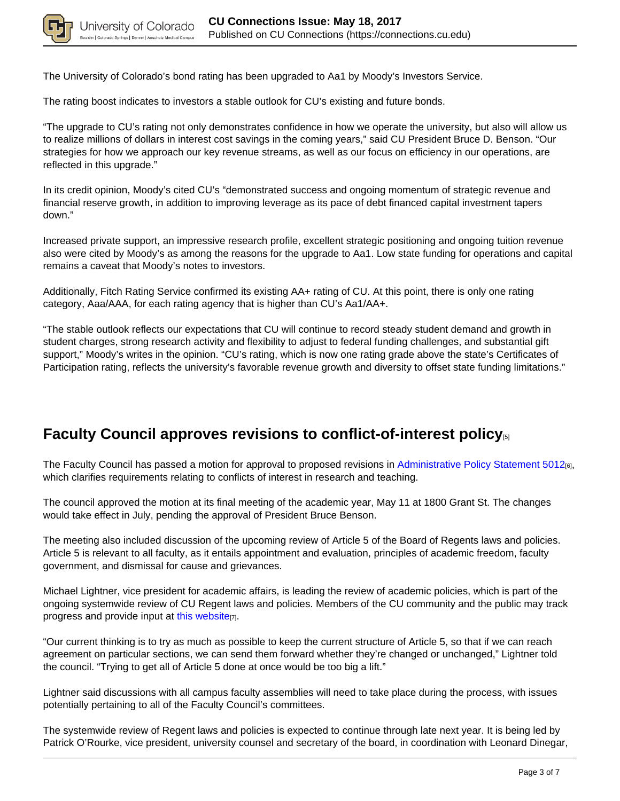

The University of Colorado's bond rating has been upgraded to Aa1 by Moody's Investors Service.

The rating boost indicates to investors a stable outlook for CU's existing and future bonds.

"The upgrade to CU's rating not only demonstrates confidence in how we operate the university, but also will allow us to realize millions of dollars in interest cost savings in the coming years," said CU President Bruce D. Benson. "Our strategies for how we approach our key revenue streams, as well as our focus on efficiency in our operations, are reflected in this upgrade."

In its credit opinion, Moody's cited CU's "demonstrated success and ongoing momentum of strategic revenue and financial reserve growth, in addition to improving leverage as its pace of debt financed capital investment tapers down."

Increased private support, an impressive research profile, excellent strategic positioning and ongoing tuition revenue also were cited by Moody's as among the reasons for the upgrade to Aa1. Low state funding for operations and capital remains a caveat that Moody's notes to investors.

Additionally, Fitch Rating Service confirmed its existing AA+ rating of CU. At this point, there is only one rating category, Aaa/AAA, for each rating agency that is higher than CU's Aa1/AA+.

"The stable outlook reflects our expectations that CU will continue to record steady student demand and growth in student charges, strong research activity and flexibility to adjust to federal funding challenges, and substantial gift support," Moody's writes in the opinion. "CU's rating, which is now one rating grade above the state's Certificates of Participation rating, reflects the university's favorable revenue growth and diversity to offset state funding limitations."

# **Faculty Council approves revisions to conflict-of-interest policy**[5]

The Faculty Council has passed a motion for approval to proposed revisions in Administrative Policy Statement 5012[6], which clarifies requirements relating to conflicts of interest in research and teaching.

The council approved the motion at its final meeting of the academic year, May 11 at 1800 Grant St. The changes would take effect in July, pending the approval of President Bruce Benson.

The meeting also included discussion of the upcoming review of Article 5 of the Board of Regents laws and policies. Article 5 is relevant to all faculty, as it entails appointment and evaluation, principles of academic freedom, faculty government, and dismissal for cause and grievances.

Michael Lightner, vice president for academic affairs, is leading the review of academic policies, which is part of the ongoing systemwide review of CU Regent laws and policies. Members of the CU community and the public may track progress and provide input at this website[7].

"Our current thinking is to try as much as possible to keep the current structure of Article 5, so that if we can reach agreement on particular sections, we can send them forward whether they're changed or unchanged," Lightner told the council. "Trying to get all of Article 5 done at once would be too big a lift."

Lightner said discussions with all campus faculty assemblies will need to take place during the process, with issues potentially pertaining to all of the Faculty Council's committees.

The systemwide review of Regent laws and policies is expected to continue through late next year. It is being led by Patrick O'Rourke, vice president, university counsel and secretary of the board, in coordination with Leonard Dinegar,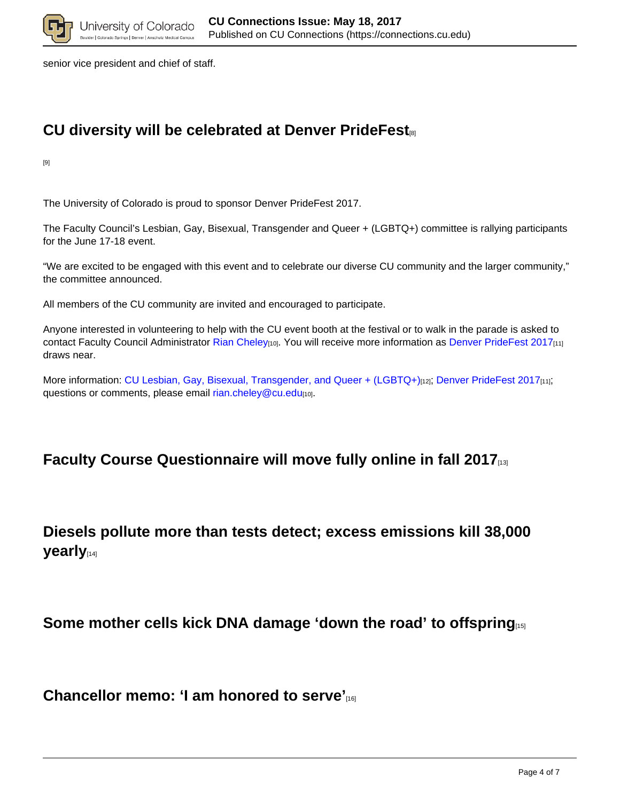

senior vice president and chief of staff.

lo Springs | De

# **CU diversity will be celebrated at Denver PrideFest**[8]

[9]

The University of Colorado is proud to sponsor Denver PrideFest 2017.

The Faculty Council's Lesbian, Gay, Bisexual, Transgender and Queer + (LGBTQ+) committee is rallying participants for the June 17-18 event.

"We are excited to be engaged with this event and to celebrate our diverse CU community and the larger community," the committee announced.

All members of the CU community are invited and encouraged to participate.

Anyone interested in volunteering to help with the CU event booth at the festival or to walk in the parade is asked to contact Faculty Council Administrator Rian Cheley[10]. You will receive more information as Denver PrideFest 2017[11] draws near.

More information: CU Lesbian, Gay, Bisexual, Transgender, and Queer + (LGBTQ+)[12]; Denver PrideFest 2017[11]; questions or comments, please email rian.cheley@cu.edu[10].

### **Faculty Course Questionnaire will move fully online in fall 2017**[13]

### **Diesels pollute more than tests detect; excess emissions kill 38,000 yearly**[14]

**Some mother cells kick DNA damage 'down the road' to offspring** 

**Chancellor memo: 'I am honored to serve'**[16]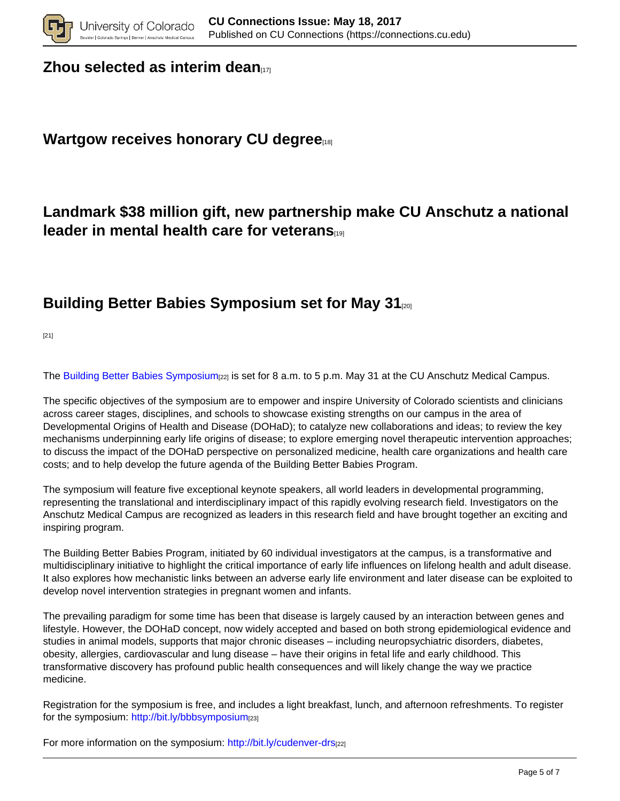

#### **Zhou selected as interim dean**

### **Wartgow receives honorary CU degree**

## **Landmark \$38 million gift, new partnership make CU Anschutz a national leader in mental health care for veterans**[19]

### **Building Better Babies Symposium set for May 31**[20]

[21]

The Building Better Babies Symposium<sub>[22]</sub> is set for 8 a.m. to 5 p.m. May 31 at the CU Anschutz Medical Campus.

The specific objectives of the symposium are to empower and inspire University of Colorado scientists and clinicians across career stages, disciplines, and schools to showcase existing strengths on our campus in the area of Developmental Origins of Health and Disease (DOHaD); to catalyze new collaborations and ideas; to review the key mechanisms underpinning early life origins of disease; to explore emerging novel therapeutic intervention approaches; to discuss the impact of the DOHaD perspective on personalized medicine, health care organizations and health care costs; and to help develop the future agenda of the Building Better Babies Program.

The symposium will feature five exceptional keynote speakers, all world leaders in developmental programming, representing the translational and interdisciplinary impact of this rapidly evolving research field. Investigators on the Anschutz Medical Campus are recognized as leaders in this research field and have brought together an exciting and inspiring program.

The Building Better Babies Program, initiated by 60 individual investigators at the campus, is a transformative and multidisciplinary initiative to highlight the critical importance of early life influences on lifelong health and adult disease. It also explores how mechanistic links between an adverse early life environment and later disease can be exploited to develop novel intervention strategies in pregnant women and infants.

The prevailing paradigm for some time has been that disease is largely caused by an interaction between genes and lifestyle. However, the DOHaD concept, now widely accepted and based on both strong epidemiological evidence and studies in animal models, supports that major chronic diseases – including neuropsychiatric disorders, diabetes, obesity, allergies, cardiovascular and lung disease – have their origins in fetal life and early childhood. This transformative discovery has profound public health consequences and will likely change the way we practice medicine.

Registration for the symposium is free, and includes a light breakfast, lunch, and afternoon refreshments. To register for the symposium: http://bit.ly/bbbsymposium[23]

For more information on the symposium: http://bit.ly/cudenver-drs[22]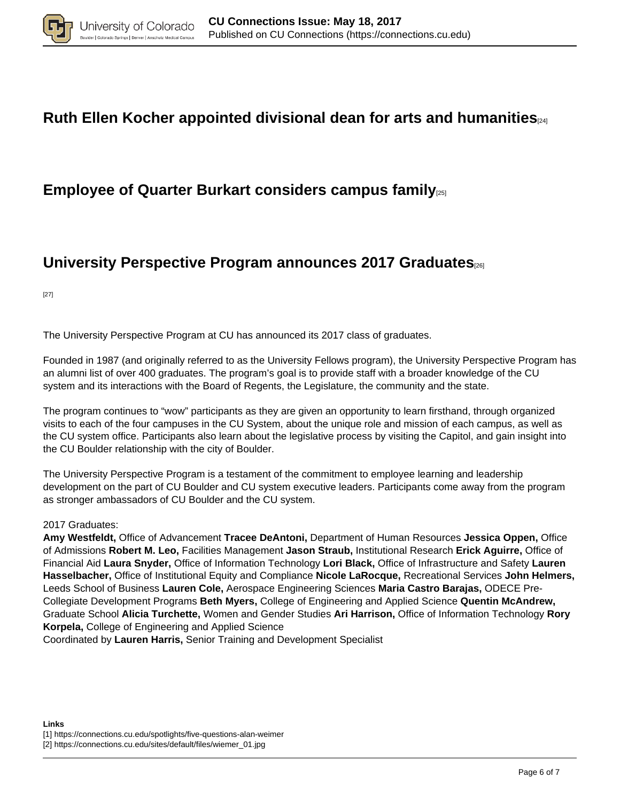

### **Ruth Ellen Kocher appointed divisional dean for arts and humanities**[24]

### **Employee of Quarter Burkart considers campus family**[25]

## **University Perspective Program announces 2017 Graduates**[26]

[27]

The University Perspective Program at CU has announced its 2017 class of graduates.

Founded in 1987 (and originally referred to as the University Fellows program), the University Perspective Program has an alumni list of over 400 graduates. The program's goal is to provide staff with a broader knowledge of the CU system and its interactions with the Board of Regents, the Legislature, the community and the state.

The program continues to "wow" participants as they are given an opportunity to learn firsthand, through organized visits to each of the four campuses in the CU System, about the unique role and mission of each campus, as well as the CU system office. Participants also learn about the legislative process by visiting the Capitol, and gain insight into the CU Boulder relationship with the city of Boulder.

The University Perspective Program is a testament of the commitment to employee learning and leadership development on the part of CU Boulder and CU system executive leaders. Participants come away from the program as stronger ambassadors of CU Boulder and the CU system.

#### 2017 Graduates:

**Amy Westfeldt,** Office of Advancement **Tracee DeAntoni,** Department of Human Resources **Jessica Oppen,** Office of Admissions **Robert M. Leo,** Facilities Management **Jason Straub,** Institutional Research **Erick Aguirre,** Office of Financial Aid **Laura Snyder,** Office of Information Technology **Lori Black,** Office of Infrastructure and Safety **Lauren Hasselbacher,** Office of Institutional Equity and Compliance **Nicole LaRocque,** Recreational Services **John Helmers,** Leeds School of Business **Lauren Cole,** Aerospace Engineering Sciences **Maria Castro Barajas,** ODECE Pre-Collegiate Development Programs **Beth Myers,** College of Engineering and Applied Science **Quentin McAndrew,** Graduate School **Alicia Turchette,** Women and Gender Studies **Ari Harrison,** Office of Information Technology **Rory Korpela,** College of Engineering and Applied Science

Coordinated by **Lauren Harris,** Senior Training and Development Specialist